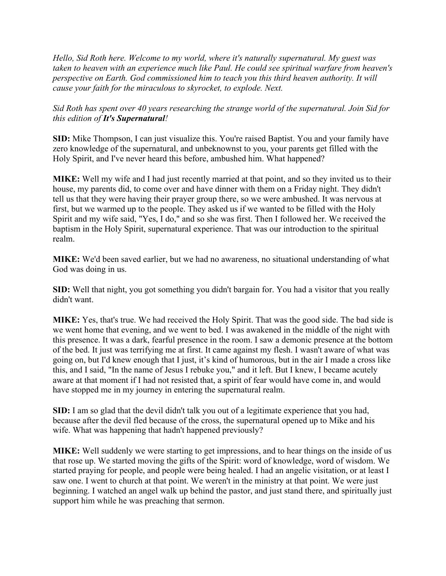*Hello, Sid Roth here. Welcome to my world, where it's naturally supernatural. My guest was taken to heaven with an experience much like Paul. He could see spiritual warfare from heaven's perspective on Earth. God commissioned him to teach you this third heaven authority. It will cause your faith for the miraculous to skyrocket, to explode. Next.*

*Sid Roth has spent over 40 years researching the strange world of the supernatural. Join Sid for this edition of It's Supernatural!*

**SID:** Mike Thompson, I can just visualize this. You're raised Baptist. You and your family have zero knowledge of the supernatural, and unbeknownst to you, your parents get filled with the Holy Spirit, and I've never heard this before, ambushed him. What happened?

**MIKE:** Well my wife and I had just recently married at that point, and so they invited us to their house, my parents did, to come over and have dinner with them on a Friday night. They didn't tell us that they were having their prayer group there, so we were ambushed. It was nervous at first, but we warmed up to the people. They asked us if we wanted to be filled with the Holy Spirit and my wife said, "Yes, I do," and so she was first. Then I followed her. We received the baptism in the Holy Spirit, supernatural experience. That was our introduction to the spiritual realm.

**MIKE:** We'd been saved earlier, but we had no awareness, no situational understanding of what God was doing in us.

**SID:** Well that night, you got something you didn't bargain for. You had a visitor that you really didn't want.

**MIKE:** Yes, that's true. We had received the Holy Spirit. That was the good side. The bad side is we went home that evening, and we went to bed. I was awakened in the middle of the night with this presence. It was a dark, fearful presence in the room. I saw a demonic presence at the bottom of the bed. It just was terrifying me at first. It came against my flesh. I wasn't aware of what was going on, but I'd knew enough that I just, it's kind of humorous, but in the air I made a cross like this, and I said, "In the name of Jesus I rebuke you," and it left. But I knew, I became acutely aware at that moment if I had not resisted that, a spirit of fear would have come in, and would have stopped me in my journey in entering the supernatural realm.

**SID:** I am so glad that the devil didn't talk you out of a legitimate experience that you had, because after the devil fled because of the cross, the supernatural opened up to Mike and his wife. What was happening that hadn't happened previously?

**MIKE:** Well suddenly we were starting to get impressions, and to hear things on the inside of us that rose up. We started moving the gifts of the Spirit: word of knowledge, word of wisdom. We started praying for people, and people were being healed. I had an angelic visitation, or at least I saw one. I went to church at that point. We weren't in the ministry at that point. We were just beginning. I watched an angel walk up behind the pastor, and just stand there, and spiritually just support him while he was preaching that sermon.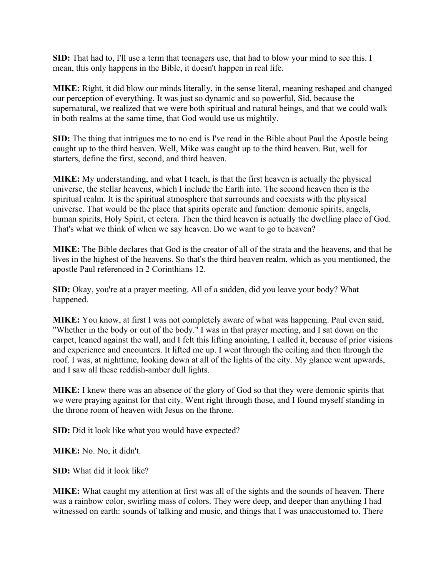**SID:** That had to, I'll use a term that teenagers use, that had to blow your mind to see this. I mean, this only happens in the Bible, it doesn't happen in real life.

**MIKE:** Right, it did blow our minds literally, in the sense literal, meaning reshaped and changed our perception of everything. It was just so dynamic and so powerful, Sid, because the supernatural, we realized that we were both spiritual and natural beings, and that we could walk in both realms at the same time, that God would use us mightily.

**SID:** The thing that intrigues me to no end is I've read in the Bible about Paul the Apostle being caught up to the third heaven. Well, Mike was caught up to the third heaven. But, well for starters, define the first, second, and third heaven.

**MIKE:** My understanding, and what I teach, is that the first heaven is actually the physical universe, the stellar heavens, which I include the Earth into. The second heaven then is the spiritual realm. It is the spiritual atmosphere that surrounds and coexists with the physical universe. That would be the place that spirits operate and function: demonic spirits, angels, human spirits, Holy Spirit, et cetera. Then the third heaven is actually the dwelling place of God. That's what we think of when we say heaven. Do we want to go to heaven?

**MIKE:** The Bible declares that God is the creator of all of the strata and the heavens, and that he lives in the highest of the heavens. So that's the third heaven realm, which as you mentioned, the apostle Paul referenced in 2 Corinthians 12.

**SID:** Okay, you're at a prayer meeting. All of a sudden, did you leave your body? What happened.

**MIKE:** You know, at first I was not completely aware of what was happening. Paul even said, "Whether in the body or out of the body." I was in that prayer meeting, and I sat down on the carpet, leaned against the wall, and I felt this lifting anointing, I called it, because of prior visions and experience and encounters. It lifted me up. I went through the ceiling and then through the roof. I was, at nighttime, looking down at all of the lights of the city. My glance went upwards, and I saw all these reddish-amber dull lights.

**MIKE:** I knew there was an absence of the glory of God so that they were demonic spirits that we were praying against for that city. Went right through those, and I found myself standing in the throne room of heaven with Jesus on the throne.

**SID:** Did it look like what you would have expected?

**MIKE:** No. No, it didn't.

**SID:** What did it look like?

**MIKE:** What caught my attention at first was all of the sights and the sounds of heaven. There was a rainbow color, swirling mass of colors. They were deep, and deeper than anything I had witnessed on earth: sounds of talking and music, and things that I was unaccustomed to. There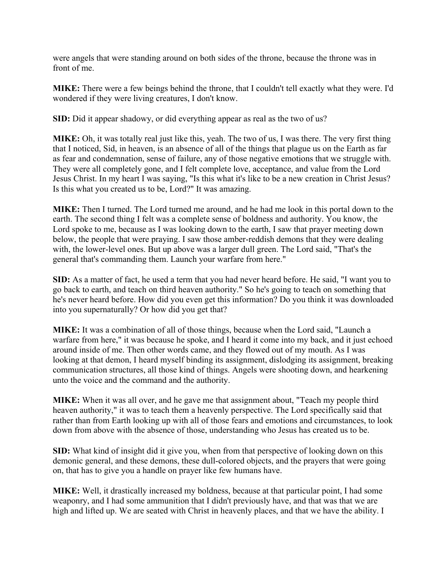were angels that were standing around on both sides of the throne, because the throne was in front of me.

**MIKE:** There were a few beings behind the throne, that I couldn't tell exactly what they were. I'd wondered if they were living creatures, I don't know.

**SID:** Did it appear shadowy, or did everything appear as real as the two of us?

**MIKE:** Oh, it was totally real just like this, yeah. The two of us, I was there. The very first thing that I noticed, Sid, in heaven, is an absence of all of the things that plague us on the Earth as far as fear and condemnation, sense of failure, any of those negative emotions that we struggle with. They were all completely gone, and I felt complete love, acceptance, and value from the Lord Jesus Christ. In my heart I was saying, "Is this what it's like to be a new creation in Christ Jesus? Is this what you created us to be, Lord?" It was amazing.

**MIKE:** Then I turned. The Lord turned me around, and he had me look in this portal down to the earth. The second thing I felt was a complete sense of boldness and authority. You know, the Lord spoke to me, because as I was looking down to the earth, I saw that prayer meeting down below, the people that were praying. I saw those amber-reddish demons that they were dealing with, the lower-level ones. But up above was a larger dull green. The Lord said, "That's the general that's commanding them. Launch your warfare from here."

**SID:** As a matter of fact, he used a term that you had never heard before. He said, "I want you to go back to earth, and teach on third heaven authority." So he's going to teach on something that he's never heard before. How did you even get this information? Do you think it was downloaded into you supernaturally? Or how did you get that?

**MIKE:** It was a combination of all of those things, because when the Lord said, "Launch a warfare from here," it was because he spoke, and I heard it come into my back, and it just echoed around inside of me. Then other words came, and they flowed out of my mouth. As I was looking at that demon, I heard myself binding its assignment, dislodging its assignment, breaking communication structures, all those kind of things. Angels were shooting down, and hearkening unto the voice and the command and the authority.

**MIKE:** When it was all over, and he gave me that assignment about, "Teach my people third heaven authority," it was to teach them a heavenly perspective. The Lord specifically said that rather than from Earth looking up with all of those fears and emotions and circumstances, to look down from above with the absence of those, understanding who Jesus has created us to be.

**SID:** What kind of insight did it give you, when from that perspective of looking down on this demonic general, and these demons, these dull-colored objects, and the prayers that were going on, that has to give you a handle on prayer like few humans have.

**MIKE:** Well, it drastically increased my boldness, because at that particular point, I had some weaponry, and I had some ammunition that I didn't previously have, and that was that we are high and lifted up. We are seated with Christ in heavenly places, and that we have the ability. I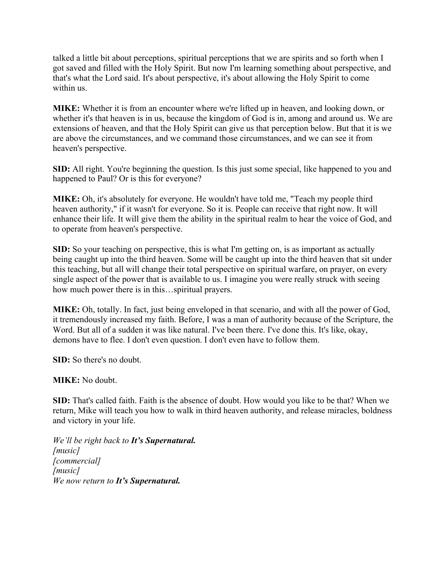talked a little bit about perceptions, spiritual perceptions that we are spirits and so forth when I got saved and filled with the Holy Spirit. But now I'm learning something about perspective, and that's what the Lord said. It's about perspective, it's about allowing the Holy Spirit to come within us.

**MIKE:** Whether it is from an encounter where we're lifted up in heaven, and looking down, or whether it's that heaven is in us, because the kingdom of God is in, among and around us. We are extensions of heaven, and that the Holy Spirit can give us that perception below. But that it is we are above the circumstances, and we command those circumstances, and we can see it from heaven's perspective.

**SID:** All right. You're beginning the question. Is this just some special, like happened to you and happened to Paul? Or is this for everyone?

**MIKE:** Oh, it's absolutely for everyone. He wouldn't have told me, "Teach my people third heaven authority," if it wasn't for everyone. So it is. People can receive that right now. It will enhance their life. It will give them the ability in the spiritual realm to hear the voice of God, and to operate from heaven's perspective.

**SID:** So your teaching on perspective, this is what I'm getting on, is as important as actually being caught up into the third heaven. Some will be caught up into the third heaven that sit under this teaching, but all will change their total perspective on spiritual warfare, on prayer, on every single aspect of the power that is available to us. I imagine you were really struck with seeing how much power there is in this…spiritual prayers.

**MIKE:** Oh, totally. In fact, just being enveloped in that scenario, and with all the power of God, it tremendously increased my faith. Before, I was a man of authority because of the Scripture, the Word. But all of a sudden it was like natural. I've been there. I've done this. It's like, okay, demons have to flee. I don't even question. I don't even have to follow them.

**SID:** So there's no doubt.

**MIKE:** No doubt.

**SID:** That's called faith. Faith is the absence of doubt. How would you like to be that? When we return, Mike will teach you how to walk in third heaven authority, and release miracles, boldness and victory in your life.

*We'll be right back to It's Supernatural. [music] [commercial] [music] We now return to It's Supernatural.*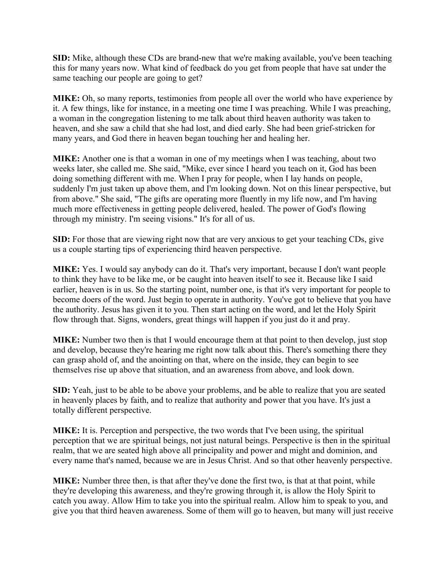**SID:** Mike, although these CDs are brand-new that we're making available, you've been teaching this for many years now. What kind of feedback do you get from people that have sat under the same teaching our people are going to get?

**MIKE:** Oh, so many reports, testimonies from people all over the world who have experience by it. A few things, like for instance, in a meeting one time I was preaching. While I was preaching, a woman in the congregation listening to me talk about third heaven authority was taken to heaven, and she saw a child that she had lost, and died early. She had been grief-stricken for many years, and God there in heaven began touching her and healing her.

**MIKE:** Another one is that a woman in one of my meetings when I was teaching, about two weeks later, she called me. She said, "Mike, ever since I heard you teach on it, God has been doing something different with me. When I pray for people, when I lay hands on people, suddenly I'm just taken up above them, and I'm looking down. Not on this linear perspective, but from above." She said, "The gifts are operating more fluently in my life now, and I'm having much more effectiveness in getting people delivered, healed. The power of God's flowing through my ministry. I'm seeing visions." It's for all of us.

**SID:** For those that are viewing right now that are very anxious to get your teaching CDs, give us a couple starting tips of experiencing third heaven perspective.

**MIKE:** Yes. I would say anybody can do it. That's very important, because I don't want people to think they have to be like me, or be caught into heaven itself to see it. Because like I said earlier, heaven is in us. So the starting point, number one, is that it's very important for people to become doers of the word. Just begin to operate in authority. You've got to believe that you have the authority. Jesus has given it to you. Then start acting on the word, and let the Holy Spirit flow through that. Signs, wonders, great things will happen if you just do it and pray.

**MIKE:** Number two then is that I would encourage them at that point to then develop, just stop and develop, because they're hearing me right now talk about this. There's something there they can grasp ahold of, and the anointing on that, where on the inside, they can begin to see themselves rise up above that situation, and an awareness from above, and look down.

**SID:** Yeah, just to be able to be above your problems, and be able to realize that you are seated in heavenly places by faith, and to realize that authority and power that you have. It's just a totally different perspective.

**MIKE:** It is. Perception and perspective, the two words that I've been using, the spiritual perception that we are spiritual beings, not just natural beings. Perspective is then in the spiritual realm, that we are seated high above all principality and power and might and dominion, and every name that's named, because we are in Jesus Christ. And so that other heavenly perspective.

**MIKE:** Number three then, is that after they've done the first two, is that at that point, while they're developing this awareness, and they're growing through it, is allow the Holy Spirit to catch you away. Allow Him to take you into the spiritual realm. Allow him to speak to you, and give you that third heaven awareness. Some of them will go to heaven, but many will just receive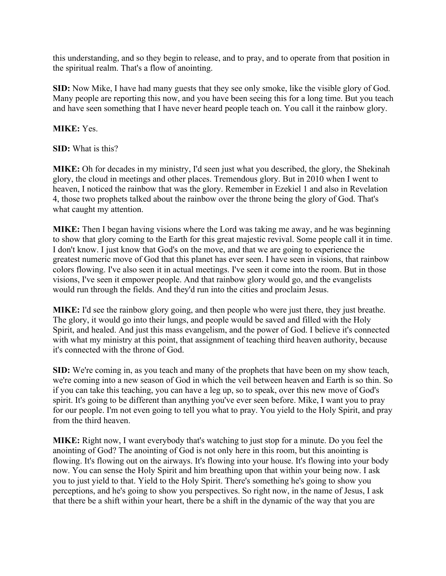this understanding, and so they begin to release, and to pray, and to operate from that position in the spiritual realm. That's a flow of anointing.

**SID:** Now Mike, I have had many guests that they see only smoke, like the visible glory of God. Many people are reporting this now, and you have been seeing this for a long time. But you teach and have seen something that I have never heard people teach on. You call it the rainbow glory.

## **MIKE:** Yes.

**SID:** What is this?

**MIKE:** Oh for decades in my ministry, I'd seen just what you described, the glory, the Shekinah glory, the cloud in meetings and other places. Tremendous glory. But in 2010 when I went to heaven, I noticed the rainbow that was the glory. Remember in Ezekiel 1 and also in Revelation 4, those two prophets talked about the rainbow over the throne being the glory of God. That's what caught my attention.

**MIKE:** Then I began having visions where the Lord was taking me away, and he was beginning to show that glory coming to the Earth for this great majestic revival. Some people call it in time. I don't know. I just know that God's on the move, and that we are going to experience the greatest numeric move of God that this planet has ever seen. I have seen in visions, that rainbow colors flowing. I've also seen it in actual meetings. I've seen it come into the room. But in those visions, I've seen it empower people. And that rainbow glory would go, and the evangelists would run through the fields. And they'd run into the cities and proclaim Jesus.

**MIKE:** I'd see the rainbow glory going, and then people who were just there, they just breathe. The glory, it would go into their lungs, and people would be saved and filled with the Holy Spirit, and healed. And just this mass evangelism, and the power of God. I believe it's connected with what my ministry at this point, that assignment of teaching third heaven authority, because it's connected with the throne of God.

**SID:** We're coming in, as you teach and many of the prophets that have been on my show teach, we're coming into a new season of God in which the veil between heaven and Earth is so thin. So if you can take this teaching, you can have a leg up, so to speak, over this new move of God's spirit. It's going to be different than anything you've ever seen before. Mike, I want you to pray for our people. I'm not even going to tell you what to pray. You yield to the Holy Spirit, and pray from the third heaven.

**MIKE:** Right now, I want everybody that's watching to just stop for a minute. Do you feel the anointing of God? The anointing of God is not only here in this room, but this anointing is flowing. It's flowing out on the airways. It's flowing into your house. It's flowing into your body now. You can sense the Holy Spirit and him breathing upon that within your being now. I ask you to just yield to that. Yield to the Holy Spirit. There's something he's going to show you perceptions, and he's going to show you perspectives. So right now, in the name of Jesus, I ask that there be a shift within your heart, there be a shift in the dynamic of the way that you are